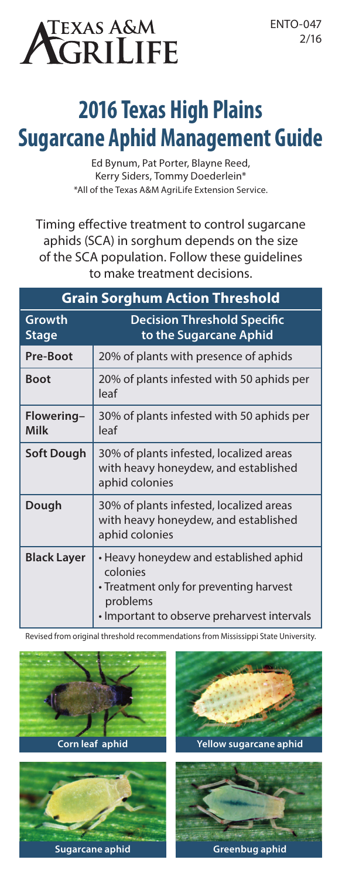# texas a&m<br>**\GRILIFE**

# **2016 Texas High Plains Sugarcane Aphid Management Guide**

Ed Bynum, Pat Porter, Blayne Reed, Kerry Siders, Tommy Doederlein\* \*All of the Texas A&M AgriLife Extension Service.

Timing effective treatment to control sugarcane aphids (SCA) in sorghum depends on the size of the SCA population. Follow these guidelines to make treatment decisions.

| <b>Grain Sorghum Action Threshold</b> |                                                                                                                                                          |
|---------------------------------------|----------------------------------------------------------------------------------------------------------------------------------------------------------|
| Growth<br>Stage                       | <b>Decision Threshold Specific</b><br>to the Sugarcane Aphid                                                                                             |
| Pre-Boot                              | 20% of plants with presence of aphids                                                                                                                    |
| <b>Boot</b>                           | 20% of plants infested with 50 aphids per<br>leaf                                                                                                        |
| Flowering-<br>Milk                    | 30% of plants infested with 50 aphids per<br>leaf                                                                                                        |
| Soft Dough                            | 30% of plants infested, localized areas<br>with heavy honeydew, and established<br>aphid colonies                                                        |
| Dough                                 | 30% of plants infested, localized areas<br>with heavy honeydew, and established<br>aphid colonies                                                        |
| <b>Black Layer</b>                    | • Heavy honeydew and established aphid<br>colonies<br>• Treatment only for preventing harvest<br>problems<br>• Important to observe preharvest intervals |

Revised from original threshold recommendations from Mississippi State University.

**Corn leaf aphid**